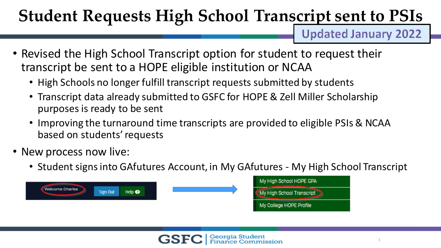**Updated January 2022** 

- Revised the High School Transcript option for student to request their transcript be sent to a HOPE eligible institution or NCAA
	- High Schools no longer fulfill transcript requests submitted by students
	- Transcript data already submitted to GSFC for HOPE & Zell Miller Scholarship purposes is ready to be sent
	- Improving the turnaround time transcripts are provided to eligible PSIs & NCAA based on students' requests
- New process now live:
	- Student signs into GAfutures Account, in My GAfutures My High School Transcript

|                        |          |                | My High School HOPE GPA   |
|------------------------|----------|----------------|---------------------------|
| <b>Welcome Charles</b> | Sign Out | Help $\bullet$ | My High School Transcript |
|                        |          |                | My College HOPE Profile   |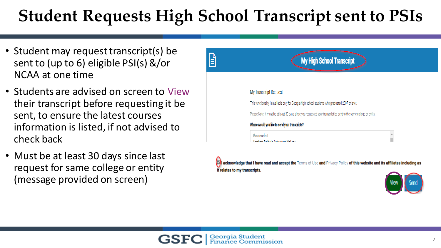- Student may request transcript(s) be sent to (up to 6) eligible PSI(s) &/or NCAA at one time
- Students are advised on screen to View their transcript before requesting it be sent, to ensure the latest courses information is listed, if not advised to check back
- Must be at least 30 days since last request for same college or entity (message provided on screen)



[7] acknowledge that I have read and accept the Terms of Use and Privacy Policy of this website and its affiliates including as it relates to my transcripts.

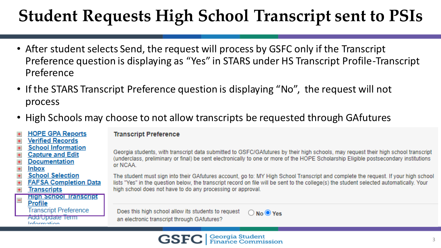- After student selects Send, the request will process by GSFC only if the Transcript Preference question is displaying as "Yes" in STARS under HS Transcript Profile-Transcript Preference
- If the STARS Transcript Preference question is displaying "No", the request will not process
- High Schools may choose to not allow transcripts be requested through GAfutures

#### **HOPE GPA Reports Verified Records School Information Capture and Edit Documentation**  $\ddot{}$ **Inbox School Selection FAFSA Completion Data Transcripts High School Transcript** Profile **Transcript Preference ACCIONOGRIC CHILI** Information

### **Transcript Preference**

Georgia students, with transcript data submitted to GSFC/GAfutures by their high schools, may request their high school transcript (underclass, preliminary or final) be sent electronically to one or more of the HOPE Scholarship Eligible postsecondary institutions or NCAA.

The student must sign into their GAfutures account, go to: MY High School Transcript and complete the request. If your high school lists "Yes" in the question below, the transcript record on file will be sent to the college(s) the student selected automatically. Your high school does not have to do any processing or approval.

Does this high school allow its students to request  $\bigcirc$  No  $\bigcirc$  Yes an electronic transcript through GAfutures?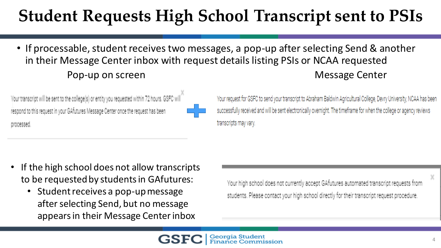• If processable, student receives two messages, a pop-up after selecting Send & another in their Message Center inbox with request details listing PSIs or NCAA requested Pop-up on screen and the method of the Message Center

m in

Your transcript will be sent to the college(s) or entity you requested within 72 hours. GSFC will respond to this request in your GAfutures Message Center once the request has been processed.

Your request for GSFC to send your transcript to Abraham Baldwin Agricultural College, Devry University, NCAA has been successfully received and will be sent electronically overnight. The timeframe for when the college or agency reviews transcripts may vary.

- If the high school does not allow transcripts to be requested by students in GAfutures:
	- Student receives a pop-up message after selecting Send, but no message appears in their Message Center inbox

Your high school does not currently accept GAfutures automated transcript requests from students. Please contact your high school directly for their transcript request procedure.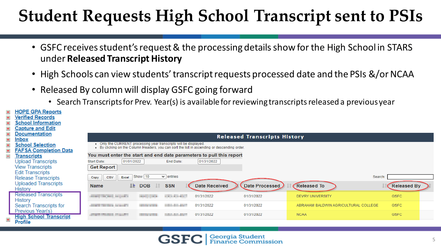- GSFC receives student's request & the processing details show for the High School in STARS under **Released Transcript History**
- High Schools can view students' transcript requests processed date and the PSIs &/or NCAA
- Released By column will display GSFC going forward
	- Search Transcripts for Prev. Year(s) is available for reviewing transcripts released a previous year

|           | <b>HOPE GPA Reports</b>       |                                                                                                                                                                   |                                                    |                      |                |                                      |                    |  |  |  |
|-----------|-------------------------------|-------------------------------------------------------------------------------------------------------------------------------------------------------------------|----------------------------------------------------|----------------------|----------------|--------------------------------------|--------------------|--|--|--|
| $\pm$     | <b>Verified Records</b>       |                                                                                                                                                                   |                                                    |                      |                |                                      |                    |  |  |  |
| $\pm$     | <b>School Information</b>     |                                                                                                                                                                   |                                                    |                      |                |                                      |                    |  |  |  |
| $+$       | <b>Capture and Edit</b>       |                                                                                                                                                                   |                                                    |                      |                |                                      |                    |  |  |  |
| $+$       | <b>Documentation</b>          | <b>Released Transcripts History</b>                                                                                                                               |                                                    |                      |                |                                      |                    |  |  |  |
| $\ddot{}$ | <b>Inbox</b>                  |                                                                                                                                                                   |                                                    |                      |                |                                      |                    |  |  |  |
| $\ddot{}$ | <b>School Selection</b>       | • Only the CURRENT processing year transcripts will be displayed.<br>. By clicking on the Column Headers, you can sort the list in ascending or descending order. |                                                    |                      |                |                                      |                    |  |  |  |
| $\pm$     | <b>FAFSA Completion Data</b>  |                                                                                                                                                                   |                                                    |                      |                |                                      |                    |  |  |  |
| $\equiv$  | <u>Transcripts</u>            | You must enter the start and end date parameters to pull this report                                                                                              |                                                    |                      |                |                                      |                    |  |  |  |
|           | <b>Upload Transcripts</b>     | 01/01/2022<br>Start Date:                                                                                                                                         | End Date:                                          | 01/31/2022           |                |                                      |                    |  |  |  |
|           | <b>View Transcripts</b>       | <b>Get Report</b>                                                                                                                                                 |                                                    |                      |                |                                      |                    |  |  |  |
|           | <b>Edit Transcripts</b>       |                                                                                                                                                                   |                                                    |                      |                |                                      |                    |  |  |  |
|           | <b>Release Transcripts</b>    | Show 10<br>$\vee$ entries<br>Search:<br>CSV<br>Excel<br>Copy                                                                                                      |                                                    |                      |                |                                      |                    |  |  |  |
|           | <b>Uploaded Transcripts</b>   | L≝<br><b>Name</b>                                                                                                                                                 | <b>DOB</b><br><b>SSN</b>                           | <b>Date Received</b> | Date Processed | <b>Released To</b>                   | <b>Released By</b> |  |  |  |
|           | <b>History</b>                |                                                                                                                                                                   |                                                    |                      |                |                                      |                    |  |  |  |
|           | <b>Released Transcripts</b>   | <b>STATE OF AUTOMOTIVE</b>                                                                                                                                        | <b>CONTRACTOR</b><br><b>Service Control</b>        | 01/31/2022           | 01/31/2022     | <b>DEVRY UNIVERSITY</b>              | <b>GSFC</b>        |  |  |  |
|           | <b>History</b>                |                                                                                                                                                                   |                                                    |                      |                |                                      |                    |  |  |  |
|           | Search Transcripts for        | country the same control of                                                                                                                                       | <b>Contract Contract</b><br><b>Service Control</b> | 01/31/2022           | 01/31/2022     | ABRAHAM BALDWIN AGRICULTURAL COLLEGE | <b>GSFC</b>        |  |  |  |
|           | Previous Year(s)              | <b>CARD ON THE PAID OF</b>                                                                                                                                        | <b>CARL AND AND IN</b>                             | 01/31/2022           | 01/31/2022     | <b>NCAA</b>                          | <b>GSFC</b>        |  |  |  |
|           | <b>High School Transcript</b> |                                                                                                                                                                   |                                                    |                      |                |                                      |                    |  |  |  |
|           | <b>Profile</b>                |                                                                                                                                                                   |                                                    |                      |                |                                      |                    |  |  |  |